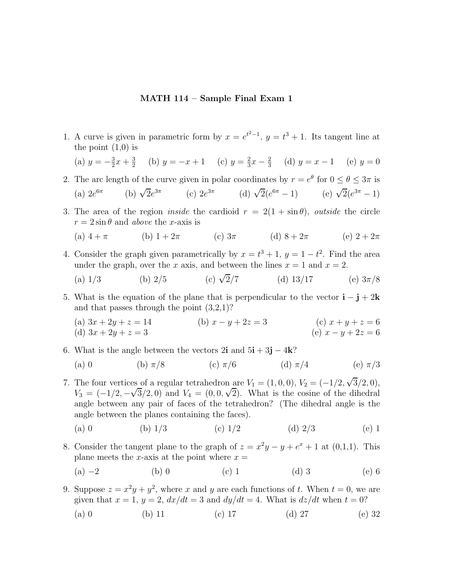## **MATH 114 – Sample Final Exam 1**

1. A curve is given in parametric form by  $x = e^{t^2-1}$ ,  $y = t^3 + 1$ . Its tangent line at the point  $(1,0)$  is

(a)  $y = -\frac{3}{2}x + \frac{3}{2}$  (b)  $y = -x + 1$  (c)  $y = \frac{2}{3}x - \frac{2}{3}$  (d)  $y = x - 1$  (e)  $y = 0$ 

2. The arc length of the curve given in polar coordinates by  $r = e^{\theta}$  for  $0 \le \theta \le 3\pi$  is

(a) 
$$
2e^{6\pi}
$$
 (b)  $\sqrt{2}e^{3\pi}$  (c)  $2e^{3\pi}$  (d)  $\sqrt{2}(e^{6\pi} - 1)$  (e)  $\sqrt{2}(e^{3\pi} - 1)$ 

3. The area of the region *inside* the cardioid  $r = 2(1 + \sin \theta)$ , *outside* the circle  $r = 2 \sin \theta$  and *above* the x-axis is

(a) 
$$
4 + \pi
$$
 (b)  $1 + 2\pi$  (c)  $3\pi$  (d)  $8 + 2\pi$  (e)  $2 + 2\pi$ 

- 4. Consider the graph given parametrically by  $x = t^3 + 1$ ,  $y = 1 t^2$ . Find the area under the graph, over the x axis, and between the lines  $x = 1$  and  $x = 2$ .
	- (a)  $1/3$  (b)  $2/5$  (c)  $\sqrt{2}/7$  (d)  $13/17$  (e)  $3\pi/8$
- 5. What is the equation of the plane that is perpendicular to the vector  $\mathbf{i} \mathbf{j} + 2\mathbf{k}$ and that passes through the point (3,2,1)?
	- (a)  $3x + 2y + z = 14$  (b)  $x y + 2z = 3$  (c)  $x + y + z = 6$ (d)  $3x + 2y + z = 3$  (e)  $x - y + 2z = 6$
- 6. What is the angle between the vectors  $2\mathbf{i}$  and  $5\mathbf{i} + 3\mathbf{j} 4\mathbf{k}$ ?
	- (a) 0 (b)  $\pi/8$  (c)  $\pi/6$  (d)  $\pi/4$  (e)  $\pi/3$
- 7. The four vertices of a regular tetrahedron are  $V_1 = (1,0,0), V_2 = (-1/2, \sqrt{3}/2,0),$ The four vertices of a regular tetrahedron are  $v_1 = (1, 0, 0)$ ,  $v_2 = (-1/2, \sqrt{3}/2, 0)$ ,<br>  $V_3 = (-1/2, -\sqrt{3}/2, 0)$  and  $V_4 = (0, 0, \sqrt{2})$ . What is the cosine of the dihedral angle between any pair of faces of the tetrahedron? (The dihedral angle is the angle between the planes containing the faces).
	- (a) 0 (b)  $1/3$  (c)  $1/2$  (d)  $2/3$  (e) 1
- 8. Consider the tangent plane to the graph of  $z = x^2y y + e^x + 1$  at (0,1,1). This plane meets the x-axis at the point where  $x =$ 
	- (a)  $-2$  (b) 0 (c) 1 (d) 3 (e) 6
- 9. Suppose  $z = x^2y + y^2$ , where x and y are each functions of t. When  $t = 0$ , we are given that  $x = 1$ ,  $y = 2$ ,  $dx/dt = 3$  and  $dy/dt = 4$ . What is  $dz/dt$  when  $t = 0$ ?
	- (a) 0 (b) 11 (c) 17 (d) 27 (e) 32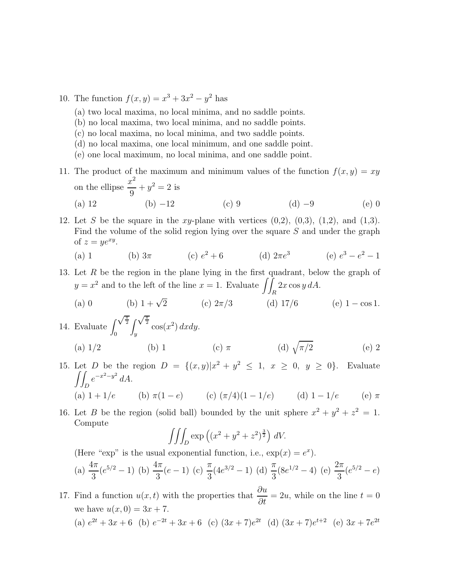10. The function  $f(x, y) = x^3 + 3x^2 - y^2$  has

- (a) two local maxima, no local minima, and no saddle points.
- (b) no local maxima, two local minima, and no saddle points.
- (c) no local maxima, no local minima, and two saddle points.
- (d) no local maxima, one local minimum, and one saddle point.
- (e) one local maximum, no local minima, and one saddle point.
- 11. The product of the maximum and minimum values of the function  $f(x, y) = xy$ on the ellipse  $\frac{x^2}{2}$  $\frac{y}{9} + y^2 = 2$  is
	- (a) 12 (b) −12 (c) 9 (d) −9 (e) 0
- 12. Let S be the square in the xy-plane with vertices  $(0,2)$ ,  $(0,3)$ ,  $(1,2)$ , and  $(1,3)$ . Find the volume of the solid region lying over the square S and under the graph of  $z = ye^{xy}$ .

(a) 1 (b) 
$$
3\pi
$$
 (c)  $e^2 + 6$  (d)  $2\pi e^3$  (e)  $e^3 - e^2 - 1$ 

- 13. Let  $R$  be the region in the plane lying in the first quadrant, below the graph of  $y = x^2$  and to the left of the line  $x = 1$ . Evaluate  $\iint_R 2x \cos y \, dA$ .
	- (a) 0 (b)  $1 + \sqrt{2}$  (c)  $2\pi/3$  (d) 17/6 (e) 1 cos 1.  $\int \sqrt{\frac{\pi}{2}}$
- 14. Evaluate  $\int_{0}^{\sqrt{\frac{\pi}{2}}}$ 2  $\boldsymbol{0}$  $\int_{y}^{\sqrt{2}} \cos(x^2) dx dy.$ (a)  $1/2$  (b) 1 (c)  $\pi$  (d)  $\sqrt{\pi/2}$  (e) 2
- 15. Let *D* be the region  $D = \{(x, y)|x^2 + y^2 \le 1, x \ge 0, y \ge 0\}$ . Evaluate  $\int$ D  $e^{-x^2-y^2} dA$ . (a)  $1 + 1/e$  (b)  $\pi(1 - e)$  (c)  $(\pi/4)(1 - 1/e)$  (d)  $1 - 1/e$  (e)  $\pi$
- 16. Let B be the region (solid ball) bounded by the unit sphere  $x^2 + y^2 + z^2 = 1$ . Compute

$$
\iiint_D \exp\left((x^2 + y^2 + z^2)^{\frac{3}{2}}\right) dV.
$$

(Here "exp" is the usual exponential function, i.e.,  $\exp(x) = e^x$ ). (a)  $\frac{4\pi}{3}(e^{5/2} - 1)$  (b)  $\frac{4\pi}{3}(e - 1)$  (c)  $\frac{\pi}{3}$  $(4e^{3/2} - 1)$  (d)  $\frac{\pi}{2}$ 3  $(8e^{1/2} - 4)$  (e)  $\frac{2\pi}{3}$  $rac{2\pi}{3}(e^{5/2}-e)$ 

17. Find a function  $u(x,t)$  with the properties that  $\frac{\partial u}{\partial t} = 2u$ , while on the line  $t = 0$ we have  $u(x, 0) = 3x + 7$ . (a)  $e^{2t} + 3x + 6$  (b)  $e^{-2t} + 3x + 6$  (c)  $(3x + 7)e^{2t}$  (d)  $(3x + 7)e^{t+2}$  (e)  $3x + 7e^{2t}$